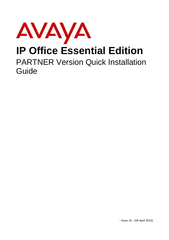

# **IP Office Essential Edition**

# PARTNER Version Quick Installation Guide

- Issue 1b - (09 April 2010)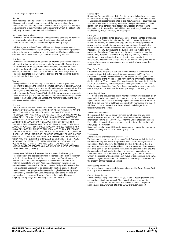#### © 2010 Avaya All Rights Reserved.

#### Notices

While reasonable efforts have been made to ensure that the information in this document is complete and accurate at the time of printing, Avaya assumes no liability for any errors. Avaya reserves the right to make changes and corrections to the information in this document without the obligation to notify any person or organization of such changes.

#### Documentation disclaimer

Avaya shall not be responsible for any modifications, additions, or deletions to the original published version of this documentation unless such modifications, additions, or deletions were performed by Avaya.

End User agree to indemnify and hold harmless Avaya, Avaya's agents, servants and employees against all claims, lawsuits, demands and judgments arising out of, or in connection with, subsequent modifications, additions or deletions to this documentation, to the extent made by End User.

#### Link disclaimer

Avaya is not responsible for the contents or reliability of any linked Web sites referenced within this site or documentation(s) provided by Avaya. Avaya is not responsible for the accuracy of any information, statement or content provided on these sites and does not necessarily endorse the products, services, or information described or offered within them. Avaya does not guarantee that these links will work all the time and has no control over the availability of the linked pages.

#### **Warranty**

Avaya provides a limited warranty on this product. Refer to your sales agreement to establish the terms of the limited warranty. In addition, Avaya's standard warranty language, as well as information regarding support for this product, while under warranty, is available to Avaya customers and other parties through the Avaya Support Web site: http://www.avaya.com/support. Please note that if you acquired the product from an authorized Avaya reseller outside of the United States and Canada, the warranty is provided to you by said Avaya reseller and not by Avaya.

#### Licenses

THE SOFTWARE LICENSE TERMS AVAILABLE ON THE AVAYA WEBSITE, HTTP://SUPPORT.AVAYA.COM/LICENSEINFO/ ARE APPLICABLE TO ANYONE WHO DOWNLOADS, USES AND/OR INSTALLS AVAYA SOFTWARE, PURCHASED FROM AVAYA INC., ANY AVAYA AFFILIATE, OR AN AUTHORIZED AVAYA RESELLER (AS APPLICABLE) UNDER A COMMERCIAL AGREEMENT WITH AVAYA OR AN AUTHORIZED AVAYA RESELLER. UNLESS OTHERWISE AGREED TO BY AVAYA IN WRITING, AVAYA DOES NOT EXTEND THIS LICENSE IF THE SOFTWARE WAS OBTAINED FROM ANYONE OTHER THAN AVAYA, AN AVAYA AFFILIATE OR AN AVAYA AUTHORIZED RESELLER, AND AVAYA RESERVES THE RIGHT TO TAKE LEGAL ACTION AGAINST YOU AND ANYONE ELSE USING OR SELLING THE SOFTWARE WITHOUT A LICENSE. BY INSTALLING, DOWNLOADING OR USING THE SOFTWARE, OR AUTHORIZING OTHERS TO DO SO, YOU, ON BEHALF OF YOURSELF AND THE ENTITY FOR WHOM YOU ARE INSTALLING, DOWNLOADING OR USING THE SOFTWARE (HEREINAFTER REFERRED TO INTERCHANGEABLY AS "YOU" AND "END USER"), AGREE TO THESE TERMS AND CONDITIONS AND CREATE A BINDING CONTRACT BETWEEN YOU AND AVAYA INC. OR THE APPLICABLE AVAYA AFFILIATE ("AVAYA").

Avaya grants End User a license within the scope of the license types described below. The applicable number of licenses and units of capacity for which the license is granted will be one (1), unless a different number of licenses or units of capacity is specified in the Documentation or other materials available to End User. "Designated Processor" means a single stand-alone computing device. "Server" means a Designated Processor that hosts a software application to be accessed by multiple users. "Software' means the computer programs in object code, originally licensed by Avaya and ultimately utilized by End User, whether as stand-alone products or pre-installed on Hardware. "Hardware" means the standard hardware originally sold by Avaya and ultimately utilized by End User.

#### License types

Designated System(s) License (DS). End User may install and use each copy of the Software on only one Designated Processor, unless a different number of Designated Processors is indicated in the Documentation or other materials available to End User. Avaya may require the Designated Processor(s) to be identified by type, serial number, feature key, location or other specific designation, or to be provided by End User to Avaya through electronic means established by Avaya specifically for this purpose.

#### **Copyright**

Except where expressly stated otherwise, no use should be made of materials on this site, the Documentation(s) and Product(s) provided by Avaya. All content on this site, the documentation(s) and the product(s) provided by Avaya including the selection, arrangement and design of the content is owned either by Avaya or its licensors and is protected by copyright and other intellectual property laws including the sui generis rights relating to the protection of databases. You may not modify, copy, reproduce, republish, upload, post, transmit or distribute in any way any content, in whole or in part, including any code and software. Unauthorized reproduction, transmission, dissemination, storage, and or use without the express written consent of Avaya can be a criminal, as well as a civil, offense under the applicable law.

#### Third Party Components

Certain software programs or portions thereof included in the Product may contain software distributed under third party agreements ("Third Party Components"), which may contain terms that expand or limit rights to use certain portions of the Product ("Third Party Terms"). Information regarding distributed Linux OS source code (for those Products that have distributed the Linux OS source code), and identifying the copyright holders of the Third Party Components and the Third Party Terms that apply to them is available on the Avaya Support Web site: http://support.avaya.com/Copyright.

#### Preventing toll fraud

"Toll fraud" is the unauthorized use of your telecommunications system by an unauthorized party (for example, a person who is not a corporate employee, agent, subcontractor, or is not working on your company's behalf). Be aware that there can be a risk of toll fraud associated with your system and that, if toll fraud occurs, it can result in substantial additional charges for your telecommunications services.

#### Avaya fraud intervention

If you suspect that you are being victimized by toll fraud and you need technical assistance or support, call Technical Service Center Toll Fraud Intervention Hotline at +1-800-643-2353 for the United States and Canada. For additional support telephone numbers, see the Avaya Support Web site: http://support.avaya.com

Suspected security vulnerabilities with Avaya products should be reported to Avaya by sending mail to: securityalerts@avaya.com.

#### Trademarks

#### Avaya and Aura are trademarks of Avaya, Inc.

The trademarks, logos and service marks ("Marks") displayed in this site, the documentation(s) and product(s) provided by Avaya are the registered or unregistered Marks of Avaya, its affiliates, or other third parties. Users are not permitted to use such Marks without prior written consent from Avaya or such third party which may own the Mark. Nothing contained in this site, the documentation(s) and product(s) should be construed as granting, by implication, estoppel, or otherwise, any license or right in and to the Marks without the express written permission of Avaya or the applicable third party. Avaya is a registered trademark of Avaya Inc. All non-Avaya trademarks are the property of their respective owners.

#### Downloading documents

For the most current versions of documentation, see the Avaya Support Web site: http://www.avaya.com/support

#### Contact Avaya Support

Avaya provides a telephone number for you to use to report problems or to ask questions about your product. The support telephone number is 1-800-242-2121 in the United States. For additional support telephone numbers, see the Avaya Web site: http://www.avaya.com/support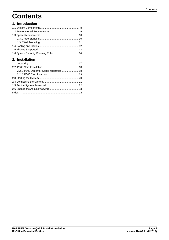# **Contents**

## 1. Introduction

# 2. Installation

| 2.2.1 IP500 Daughter Card Preparation 18 |  |
|------------------------------------------|--|
|                                          |  |
|                                          |  |
|                                          |  |
|                                          |  |
|                                          |  |
|                                          |  |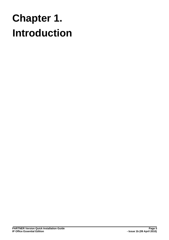# **Introduction Chapter 1.**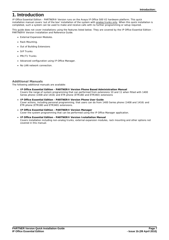# **1. Introduction**

IP Office Essential Edition - PARTNER® Version runs on the Avaya IP Office 500 V2 hardware platform. This quick installation manual covers 'out of the box' installation of the system with analog trunks only. When this quick installation is completed, such a system can be used to make and receive calls with no further programming or setup required.

This guide does not cover installations using the features listed below. They are covered by the *IP Office Essential Edition - PARTNER® Version Installation and Reference Guide*.

- · External Expansion Modules.
- · Rack Mounting.
- · Out of Building Extensions
- · SIP Trunks
- · PRI/T1 Trunks
- · Advanced configuration using IP Office Manager.
- · No LAN network connection.

## **Additional Manuals**

The following additional manuals are available:

- · *IP Office Essential Edition PARTNER® Version Phone Based Administration Manual* Covers the range of system programming that can performed from extensions 10 and 11 when fitted with 1400 Series phone (1408 and 1416) and ETR phone (ETR18D and ETR34D) extensions
- · *IP Office Essential Edition PARTNER® Version Phone User Guide* Cover actions, including personal programming, that users can do from 1400 Series phone (1408 and 1416) and ETR phone (ETR18D and ETR34D) extensions.
- · *IP Office Essential Edition PARTNER® Version Manager* Cover the system programming that can be performed using the IP Office Manager application.
- · *IP Office Essential Edition PARTNER® Version Installation Manual* Covers installation including non-analog trunks, external expansion modules, rack mounting and other options not covered in this manual.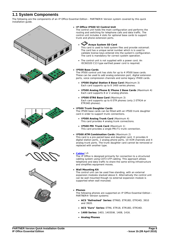# **1.1 System Components**

The following are the components of an IP Office Essential Edition - PARTNER® Version system covered by this quick installation guide.







· **IP Office IP500 V2 Control Unit** 

The control unit holds the main configuration and performs the routing and switching for telephone calls and data traffic. The control unit includes 4 slots for optional base cards to support trunk and phone extension ports.

- · **Avaya System SD Card** This card is used to hold system files and provide voicemail. The card has a unique serial number which is is used to validate license keys entered into the system's configuration. The card is mandatory for correct system operation.
- · The control unit is not supplied with a power cord. An IEC60320 C13 type earthed power cord is required.

#### · **IP500 Base Cards**

The IP500 control unit has slots for up to 4 IP500 base cards. These can be used to add analog extension port, digital extension ports, voice compression channels and some legacy IP400 cards.

- · **IP500 Digital Station 8 Base Card** *(Maximum 3)* Each card supports up to 8 1400 series phones.
- · **IP500 Analog Phone 8/Phone 2 Base Cards** *(Maximum 4)* Each card supports 8 or 2 analog phones.
- · **IP500 ETR6 Base Card** *(Maximum 3)* Each card supports up to 6 ETR phones (only 2 ETR34 or ETR34D phones).
- · **IP500 Trunk Daughter Cards** The IP500 base cards can be fitted with an IP500 trunk daughter card in order to support trunk connections.
	- · **IP500 Analog Trunk Card** *(Maximum 4)* This card provides 4 analog trunk connections.
	- · **IP500 PRI Trunk Card** *(Maximum 1)* This card provides a single PRI/T1 trunk connection.
- · **IP500 ATM Combination Cards** *(Maximum 2)* This card is a pre-paired base and daughter card. It provides 6 digital station ports, 2 analog phone ports, 10 VCM channels and 4 analog trunk ports. The trunk daughter card cannot be removed or replaced with another type.

#### · **Cables** 12

The IP Office is designed primarily for connection to a structured cabling system using CAT3 UTP cabling. This approach allows telephone and data traffic to share the same wiring infrastructure and simplifies equipment moves.

· **Wall Mounting Kit**

The control unit can be used free-standing, with an external expansion modules stacked above it. Alternatively the control unit can be wall mounted though no external expansion module is supported when wall monuted.

· **Phones**

The following phones are supported on IP Office Essential Edition - PARTNER® Version systems:

- · **ACS "Refreshed" Series:** ETR6D, ETR18D, ETR34D, 3910 and 3920.
- · **ACS "Euro" Series:** ETR6, ETR18, ETR18D, ETR34D.
- · **1400 Series:** 1403, 1403SW, 1408, 1416.
- · **Analog Phones**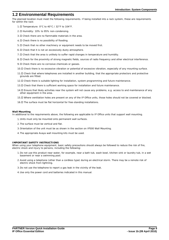## **1.2 Environmental Requirements**

The planned location must meet the following requirements. If being installed into a rack system, these are requirements for within the rack:

- 1. □ Temperature: 0°C to 40°C / 32°F to 104°F.
- $2.\Box$  Humidity: 10% to 95% non-condensing
- $3.\Box$  Check there are no flammable materials in the area.
- 4.  $\Box$  Check there is no possibility of flooding.
- $5.\Box$  Check that no other machinery or equipment needs to be moved first.
- $6. \Box$  Check that it is not an excessively dusty atmosphere.
- 7. O Check that the area is unlikely to suffer rapid changes in temperature and humidity.
- 8.  $\Box$  Check for the proximity of strong magnetic fields, sources of radio frequency and other electrical interference.
- $9. \Box$  Check there are no corrosive chemicals or gasses.
- 10.<sup> $\Box$ </sup> Check there is no excessive vibration or potential of excessive vibration, especially of any mounting surface.
- 11. O Check that where telephones are installed in another building, that the appropriate protectors and protective grounds are fitted.
- 12. Check there is suitable lighting for installation, system programming and future maintenance.
- 13.□ Check that there is sufficient working space for installation and future maintenance.
- 14. Ensure that likely activities near the system will not cause any problems, e.g. access to and maintenance of any other equipment in the area.
- 15.<sup> $\Box$ </sup> Where ventilation holes are present on any of the IP Office units, those holes should not be covered or blocked.
- $16.\Box$  The surface must be flat horizontal for free-standing installations.

#### **Wall Mounting**

In additional to the requirements above, the following are applicable to IP Office units that support wall mounting.

- 1.Units must only be mounted onto permanent wall surfaces.
- 2.The surface must be vertical and flat.
- 3.Orientation of the unit must be as shown in the section on IP500 Wall Mounting.
- 4.The appropriate Avaya wall mounting kits must be used.

#### **IMPORTANT SAFETY INSTRUCTIONS**

When using your telephone equipment, basic safety precautions should always be followed to reduce the risk of fire, electric shock and injury to persons, including the following:

- 1.Do not use this product near water, for example, near a bath tub, wash bowl, kitchen sink or laundry tub, in a wet basement or near a swimming pool.
- 2.Avoid using a telephone (other than a cordless type) during an electrical storm. There may be a remote risk of electric shock from lightning.
- 3.Do not use the telephone to report a gas leak in the vicinity of the leak.
- 4.Use only the power cord and batteries indicated in this manual.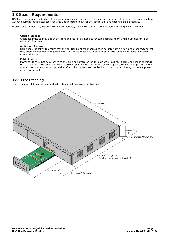## **1.3 Space Requirements**

IP Office control units and external expansion modules are designed to be installed either in a free-standing stack or into a 19" rack system. Rack installation requires a rack mounting kit for the control unit and each expansion module.

If being used without any external expansion modules, the control unit can be wall mounted using a wall mounting kit.

- · **Cable Clearance** Clearance must be provided at the front and rear of all modules for cable access. Allow a minimum clearance of 90mm (3.5 inches).
- · **Additional Clearance**

Care should be taken to ensure that the positioning of the modules does not interrupt air flow and other factors that may affect <u>environmental requirements</u>  $\bullet$  <sup>9</sup>. This is especially important on control units which have ventilation slots at the side.

· **Cable Access**

Power cords must not be attached to the building surface or run through walls, ceilings, floors and similar openings. Installation measures must be taken to prevent physical damage to the power supply cord, including proper routing of the power supply cord and provision of a socket outlet near the fixed equipment or positioning of the equipment near a socket outlet.

## **1.3.1 Free Standing**

The ventilation slots on the rear and sides should not be covered or blocked.

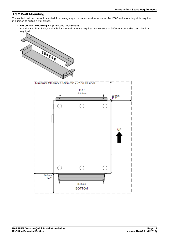## **1.3.2 Wall Mounting**

The control unit can be wall mounted if not using any external expansion modules. An IP500 wall mounting kit is required in addition to suitable wall fixings.

· **IP500 Wall Mounting Kit** *(SAP Code 700430150)* Additional 4.5mm fixings suitable for the wall type are required. A clearance of 500mm around the control unit is required.

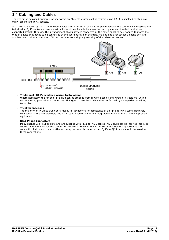# **1.4 Cabling and Cables**

The system is designed primarily for use within an RJ45 structured cabling system using CAT3 unshielded twisted-pair (UTP) cabling and RJ45 sockets.

A structured cabling system is one where cables are run from a central RJ45 patch panel in the communications/data room to individual RJ45 sockets at user's desk. All wires in each cable between the patch panel and the desk socket are connected straight through. This arrangement allows devices connected at the patch panel to be swapped to match the type of device that needs to be connected at the user socket. For example, making one user socket a phone port and another user socket a computer LAN port, without requiring any rewiring of the cables in between.



· **Traditional IDC Punchdown Wiring Installations**

Where necessary, the far end RJ45 plug can be stripped from IP Office cables and wired into traditional wiring systems using punch-block connectors. This type of installation should be performed by an experienced wiring technician.

· **Trunk Connections** 

The majority of IP Office trunk ports use RJ45 connectors for acceptance of an RJ45-to-RJ45 cable. However, connection at the line providers end may require use of a different plug type in order to match the line providers equipment.

· **RJ11 Phone Connectors**

Many phones use RJ11 sockets and are supplied with RJ11-to-RJ11 cables. RJ11 plugs can be inserted into RJ45 sockets and in many case the connection will work. However this is not recommended or supported as the connection lock is not truly positive and may become disconnected. An RJ45-to-RJ11 cable should be used for these connections.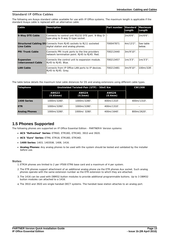## **Standard IP Office Cables**

The following are Avaya standard cables available for use with IP Office systems. The maximum length is applicable if the standard Avaya cable is replaced with an alternative cable.

| <b>Cable</b>                    | Description                                                                                             | lPart number | <b>S</b> tandard<br>Length | <b>Maximum</b><br> Length |
|---------------------------------|---------------------------------------------------------------------------------------------------------|--------------|----------------------------|---------------------------|
| 9-Way DTE Cable                 | Connects to control unit RS232 DTE port. 9-Way D- $ -$<br>type plug to 9-way D-type socket.             |              | $2m/6'6''$ .               | $2m/6'6''$ .              |
| Line Cable                      | Structured Cabling DS Connects from RJ45 sockets to RJ11 socketed<br>digital station and analog phones. | 700047871    | $\frac{4m}{13'2''}$ .      | See table<br>below.       |
| <b>PRI Trunk Cable</b>          | Connects PRI trunk ports to the line providers<br>network termination point. RJ45 to RJ45. Red.         | 700213440    | 3m/9'10".                  |                           |
| Expansion<br>Interconnect Cable | Connects the control unit to expansion module.<br>RJ45 to RJ45. Blue.                                   | 700213457    | $1m/3'3''$ .               | $1m/3'3''$ .              |
| <b>LAN Cable</b>                | Connects from IP Office LAN ports to IP devices.<br>RJ45 to RJ45. Grey.                                 | 700213481    | $3m/9'10''$ .              | $100m/328'$ .             |

The table below details the maximum total cable distances for DS and analog extensions using different cable types.

| Telephone     |                   | Unshielded Twisted-Pair (UTP) - 50nf/Km |                  | CW1308      |  |  |
|---------------|-------------------|-----------------------------------------|------------------|-------------|--|--|
|               | AWG22<br>(0.65mm) | AWG24<br>(0.5mm)                        | AWG26<br>(0.4mm) |             |  |  |
| 1400 Series   | 1000m/3280'.      | 1000m/3280'.                            | 400m/1310'.      | 400m/1310'. |  |  |
| <b>ETR</b>    | 1000m/3280'.      | 1000m/3280'.                            | 400m/1310'.      |             |  |  |
| Analog Phones | 1000m/3280'.      | 1000m/3280'.                            | 400m/1640'.      | 800m/2620'. |  |  |

## **1.5 Phones Supported**

The following phones are supported on IP Office Essential Edition - PARTNER® Version systems:

- · **ACS "Refreshed" Series:** ETR6D, ETR18D, ETR34D, 3910 and 3920.
- · **ACS "Euro" Series:** ETR6, ETR18, ETR18D, ETR34D.
- · **1400 Series:** 1403, 1403SW, 1408, 1416.
- · **Analog Phones:** Any analog phones to be used with the system should be tested and validated by the installer before use.

#### **Notes**

- 1.ETR34 phones are limited to 2 per IP500 ETR6 base card and a maximum of 4 per system.
- 2.The ETR phones support attachment of an additional analog phone via the ETR phones Aux socket. Such analog phones operate with the same extension number as the ETR extension to which they are attached.
- 3.The 1416 can be used with DBM32 button modules to provide additional programmable buttons. Up to 3 DBM32 button modules can attached to a 1416.
- 4.The 3910 and 3920 are single handset DECT systems. The handset base station attaches to an analog port.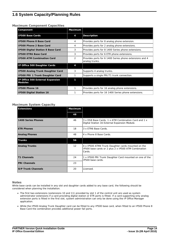# **1.6 System Capacity/Planning Rules**

## **Maximum Component Capacities**

| Component                                   | Maximum        |                                                                           |
|---------------------------------------------|----------------|---------------------------------------------------------------------------|
| P500 Base Cards                             | $\overline{4}$ | Description                                                               |
| IP500 Phone 8 Base Card                     | 4              | Provides ports for 8 analog phone extension.                              |
| IP500 Phone 2 Base Card                     | 4              | Provides ports for 2 analog phone extensions.                             |
| IP500 Digital Station 8 Base Card           | 3              | Provides ports for 8 1400 Series phone extensions.                        |
| IP500 ETR6 Base Card                        | 3              | Provides ports for 6 ETR phone extensions.                                |
| <b>IP500 ATM Combination Card</b>           | 2              | Provides ports for 6 1400 Series phone extensions and 4<br>analog trunks. |
| IP Office 500 Daughter Cards                | 4              |                                                                           |
| IP500 Analog Trunk Daughter Card            | 3              | Supports 4 analog trunks.                                                 |
| IP500 PRI 1 Trunk Daughter Card             |                | Supports a single PRI/T1 trunk connection.                                |
| IP Office 500 External Expansion<br>Modules | $\mathbf{1}$   |                                                                           |
| IP500 Phone 16                              |                | Provides ports for 16 analog phone extensions.                            |
| IP500 Digital Station 16                    |                | Provides ports for 16 1400 Series phone extensions.                       |

## **Maximum System Capacity**

| Extensions                | Maximum |                                                                                                                      |
|---------------------------|---------|----------------------------------------------------------------------------------------------------------------------|
|                           | 48      |                                                                                                                      |
| 1400 Series Phones        | 46      | 3 x DS8 Base Cards, 1 x ATM Combination Card and 1 x<br>Digital Station 16 External Expansion Module.                |
| <b>ETR Phones</b>         | 18      | 3 x ETR6 Base Cards.                                                                                                 |
| <b>Analog Phones</b>      | 48      | 4 x Phone 8 Base Cards.                                                                                              |
| <b>Trunks</b>             | 56      |                                                                                                                      |
| <b>Analog Trunks</b>      | 12      | 4 x IP500 ATM4 Trunk Daughter cards mounted on the<br>IP500 base cards or 2 plus 2 x IP500 ATM Combination<br>Cards. |
| T1 Channels               | 24      | 1 x IP500 PRI Trunk Daughter Card mounted on one of the<br>IP500 base cards.                                         |
| <b>PRI Channels</b>       | 23      |                                                                                                                      |
| <b>SIP Trunk Channels</b> | 20      | Licensed.                                                                                                            |

#### **Notes**

While base cards can be installed in any slot and daughter cards added to any base card, the following should be considered when planning the installation.

- · The first two extensions (extensions 10 and 11) provided by slot 1 of the control unit are used as system administrator extensions if a card providing digital station or ETR ports is fitted. If a card supporting only analog extension ports is fitted in the first slot, system administration can only be done using the IP Office Manager application.
- · While the IP500 Analog Trunk Daughter card can be fitted to any IP500 base card, when fitted to an IP500 Phone 8 Base Card the combination provides additional power fail ports.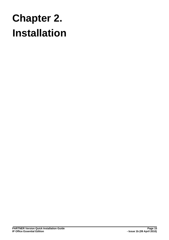# **Installation Chapter 2.**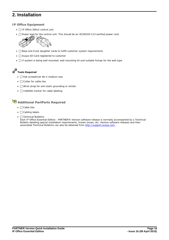# **2. Installation**

## **IP Office Equipment**

- C IP Office 500v2 control unit.
- $\Box$  Power lead for the control unit. This should be an IEC60320 C13 earthed power cord.



- $\bullet$   $\Box$  Base and trunk daughter cards to fulfill customer system requirements
- $\Box$  Avaya SD Card registered to customer
- $\Box$  If system is being wall mounted, wall mounting kit and suitable fixings for the wall type.

# *Tools Required*

- $\Box$  Flat screwdriver No 5 medium size.
- $\bullet$   $\Box$  Cutter for cable ties.
- C Wrist-strap for anti-static grounding or similar.
- $\bullet$   $\Box$  Indelible marker for cable labeling.

# **Additional PartParts Required**

- $\bullet$   $\Box$  Cable ties.
- $\bullet$   $\Box$  Cabling labels.
- $\bullet$   $\Box$  Technical Bulletins

Each IP Office Essential Edition - PARTNER® Version software release is normally accompanied by a Technical Bulletin detailing special installation requirements, known issues, etc. Various software releases and their associated Technical Bulletins can also be obtained from http://support.avaya.com.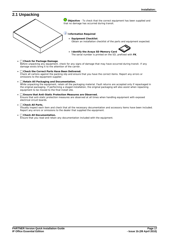# **2.1 Unpacking**



- **Check for Package Damage.** Before unpacking any equipment, check for any signs of damage that may have occurred during transit. If any damage exists bring it to the attention of the carrier.
- $\Box$  Check the Correct Parts Have Been Delivered. Check all cartons against the packing slip and ensure that you have the correct items. Report any errors or omissions to the equipment supplier.
- **C** Retain All Packaging and Documentation. While unpacking the equipment, retain all the packaging material. Fault returns are accepted only if repackaged in the original packaging. If performing a staged installation, the original packaging will also assist when repacking equipment to be moved to the final install site.
- $\Box$  Ensure that Anti-Static Protection Measures are Observed. Ensure that anti-static protection measures are observed at all times when handling equipment with exposed electrical circuit boards.
- · c **Check All Parts.** Visually inspect each item and check that all the necessary documentation and accessory items have been included. Report any errors or omissions to the dealer that supplied the equipment.
- **Check All Documentation.** Ensure that you read and retain any documentation included with the equipment.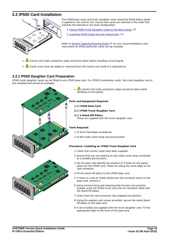## **2.2 IP500 Card Installation**



The IP500 base cards and trunk daughter cards should be fitted before power is applied to the control unit. Ensure that cards are inserted in the order that matches the planned or pre-built configuration.

1. <u>Fitting IP500 Trunk Daughter Cards to the Base Cards.</u> 184

2. Installing IP500 Cards into the Control Unit. 19

Refer to <u>System Capacity/Planning Rules</u> 14 for any recommendations and restrictions on where particular cards can be installed.

- Correct anti-static protection steps should be taken before handling circuit boards.
- $\Delta$  Cards must never be added or removed from the control unit while it is switched on.

## **2.2.1 IP500 Daughter Card Preparation**

IP500 trunk daughter cards can be fitted to any IP500 base card. For IP500 Combination cards, the trunk daughter card is pre-installed and cannot be changed.



9.A set of labels are supplied with the trunk daughter card. Fit the appropriate label to the front of the base card.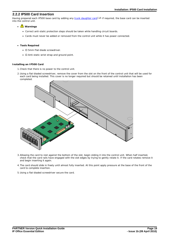## **2.2.2 IP500 Card Insertion**

Having prepared each IP500 base card by adding any <u>trunk daughter card</u> 18<sup>4</sup> if required, the base card can be inserted into the control unit.

- · **Warnings** 
	- · Correct anti-static protection steps should be taken while handling circuit boards.
	- · Cards must never be added or removed from the control unit while it has power connected.
- · **Tools Required** 
	- $\bullet$   $\square$  5mm Flat-blade screwdriver.
	- $\bullet$   $\Box$  Anti-static wrist strap and ground point.

#### **Installing an IP500 Card**

- 1.Check that there is no power to the control unit.
- 2.Using a flat-bladed screwdriver, remove the cover from the slot on the front of the control unit that will be used for each card being installed. This cover is no longer required but should be retained until installation has been completed.



- 3.Allowing the card to rest against the bottom of the slot, begin sliding it into the control unit. When half inserted, check that the card rails have engaged with the slot edges by trying to gently rotate it. If the card rotates remove it and begin inserting it again.
- 4.The card should slide in freely until almost fully inserted. At this point apply pressure at the base of the front of the card to complete insertion.
- 5.Using a flat-bladed screwdriver secure the card.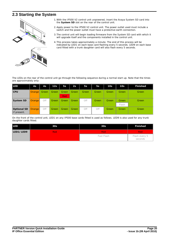## **2.3 Starting the System**



- 1.With the IP500 V2 control unit unpowered, insert the Avaya System SD card into the **System SD** slot on the rear of the control unit.
- 2.Apply power to the IP500 V2 control unit. The power outlet used must include a switch and the power outlet must have a protective earth connection.
- 3.The control unit will begin loading firmware from the System SD card with which it will upgrade itself and the components installed in the control unit.
- 4.This process takes approximately a minute. The end of this process will be indicated by LED1 on each base card flashing every 5 seconds. LED9 on each base card fitted with a trunk daughter card will also flash every 5 seconds.

The LEDs on the rear of the control unit go through the following sequence during a normal start up. Note that the times are approximately only:

| <b>ILED</b>                | 4s            | 4s                 | 12s   | 5s    | 2s    | 5s    | 5s    | 10s   | 10s   | Finished |
|----------------------------|---------------|--------------------|-------|-------|-------|-------|-------|-------|-------|----------|
| <b>CPU</b>                 | Orange        | Green <sub>1</sub> | Green | Green | Green | Green | Green | Green | Green | Green    |
|                            |               |                    |       | Red   |       |       |       |       |       |          |
| System SD                  | Orange        | Off                | Green | Green | Green | Off   | Green | Green | Green | Green    |
|                            |               |                    |       |       |       |       |       |       | Flash |          |
| Optional SD<br>If present. | <b>Orange</b> | Off                | Green | Green | Green | Off   | Off   | Green | Green | Green    |

On the front of the control unit, LED1 on any IP500 base cards fitted is used as follows. LED9 is also used for any trunk daughter cards fitted.

| ILED      | 30s | 30s        | Finished                 |
|-----------|-----|------------|--------------------------|
| LED1/LED9 | Red | <b>Red</b> | Red                      |
|           |     | Fast Flash | Flash every 5<br>seconds |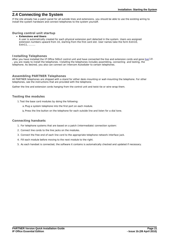# **2.4 Connecting the System**

If the site already has a patch panel for all outside lines and extensions, you should be able to use the existing wiring to install the system hardware and connect telephones to the system yourself.

## **During control unit startup**

· **Extensions and Users**

A user is automatically created for each physical extension port detected in the system. Users are assigned extension numbers upward from 10, starting from the first card slot. User names take the form Extn10, Extn11, ........

## **Installing Telephones**

After you have installed the IP Office 500v2 control unit and have connected the line and extension cords and gone <u>live</u> 20 a , you are ready to install the telephones. Installing the telephones includes assembling, connecting and testing, the telephone. As desired, you also can connect an Intercom Autodialer to certain telephones.

## **Assembling PARTNER Telephones**

All PARTNER telephones are shipped with a stand for either desk-mounting or wall-mounting the telephone. For other telephones, see the instructions that are provided with the telephone.

Gather the line and extension cords hanging from the control unit and twist-tie or wire-wrap them.

## **Testing the modules**

1.Test the base card modules by doing the following:

- a. Plug a system telephone into the first port on each module.
- b.Press the line button on the telephone for each outside line and listen for a dial tone.

### **Connecting handsets**

- 1. For telephone systems that are based on a patch (intermediate) connection system:
- 2. Connect line cords to the line jacks on the modules.
- 3. Connect the free end of each line cord to the appropriate telephone network interface jack.
- 4. Fill each module before moving to the next module to the right.
- 5. As each handset is connected, the software it contains is automatically checked and updated if necessary.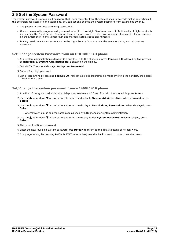## **2.5 Set the System Password**

The system password is a four-digit password that users can enter from their telephones to override dialing restrictions if the extension has access to an outside line. You can set and change the system password from extensions 10 or 11.

- · The password overrides all dialing restrictions.
- · Once a password is programmed, you must enter it to turn Night Service on and off. Additionally, if night service is on, users in the Night Service Group must enter the password to make any outgoing calls except calls to numbers on the Emergency Phone Number List and marked system speed dial numbers.
- · Dialing restrictions for extensions not in the Night Service Group remain the same as during normal daytime operation.

**Set/Change System Password from an ETR 18D/34D phone**

- 1.At a system administration extension (10 and 11); with the phone idle press **Feature 0 0** followed by two presses of **Intercom 1**. **System Administration:** is shown on the display.
- 2.Dial **#403**. The phone displays **Set System Password**.
- 3.Enter a four-digit password.
- 4.Exit programming by pressing **Feature 00**. You can also exit programming mode by lifting the handset, then place it back in the cradle.

**Set/Change the system password from a 1408/1416 phone**

- 
- 1. At either of the system administration telephones (extensions 10 and 11), with the phone idle press Admin.<br>2. Use the ▲ up or down ▼ arrow buttons to scroll the display to System Administration. When displayed, press<br>S
- **3.** Use the ▲ up or down ▼ arrow buttons to scroll the display to Restrictions/Permissions. When displayed, press **Select**.
	- · Alternatively, dial **#** and the same code as used by ETR phones for system administration.
- 4. Use the **A** up or down  $\blacktriangledown$  arrow buttons to scroll the display to Set System Password. When displayed, press **Select**.
- 5.The current setting is displayed.
- 6.Enter the new four digit system password. Use **Default** to return to the default setting of no password.
- 7.Exit programming by pressing **PHONE/EXIT**. Alternatively use the **Back** button to move to another menu.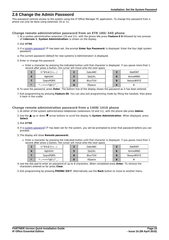## **2.6 Change the Admin Password**

This password controls access to the system using the IP Office Manager PC application. To change this password from a phone can only be done using extension 10 or 11.

**Change remote administration password from an ETR 18D/34D phone**

1.At a system administration extension (10 and 11); with the phone idle press **Feature 0 0** followed by two presses of **Intercom 1**. **System Administration:** is shown on the display.

- 2. Dial #730.<br>3. If a <u>system password</u> 22 has been set, the prompt Enter Sys Password: is displayed. Enter the four digit system password.
- 4.The current password (default for new systems is Administrator) is displayed.

5.Enter or change the password.

· Enter a character by pressing the indicated button until that character is displayed. If you pause more than 1 second after press a button, the cursor will move onto the next space.

|         | $1!$ "\$%&'()+,-./  |   | 2abcABC | $\sqrt{2}$<br>J | 3defDEF   |
|---------|---------------------|---|---------|-----------------|-----------|
| 4       | 4ghiGHI             |   | 5jklJKL | O               | 6mnoMNO   |
|         | 7pgrsPQRS           | 8 | 8tuvTUV | O               | 9wxyzWXYZ |
| $\star$ | *:; < = >?@ [\] ^_` |   | 0Space  | #               |           |

6.To save the password, press **Enter**. The bottom line of the display shows the password as it has been entered.

7.Exit programming by pressing **Feature 00**. You can also exit programming mode by lifting the handset, then place it back in the cradle.

**Change remote administration password from a 1408/1416 phone**

- 
- 1. At either of the system administration telephones (extensions 10 and 11), with the phone idle press Admin.<br>2. Use the  $\triangle$  up or down  $\nabla$  arrow buttons to scroll the display to System Administration. When displayed,
- 
- Select.<br>3. Dial #730.<br>4. If a <u>system password</u> ြ2 has been set for the system, you will be prompted to enter that password before you can proceed.
- 5.The display will show **Remote password:**.
	- · Enter a character by pressing the indicated button until that character is displayed. If you pause more than 1 second after press a button, the cursor will move onto the next space.

|         | $1!$ "\$%&'() +, -./ | $\sqrt{2}$ | 2abcABC | $\sqrt{2}$<br>J | 3defDEF   |
|---------|----------------------|------------|---------|-----------------|-----------|
| 4       | 4qhiGHI              | b          | 5iklJKL | O               | 6mnoMNO   |
|         | 7pgrsPQRS            | 8          | 8tuvTUV | a               | 9wxyzWXYZ |
| $\star$ | *:; < = >?@ [\] ^_`  |            | 0Space  | #               |           |

4.Use the dial pad to enter an password of up to 8 characters. When completed press **Enter**. To remove the characters entered so far press **Clear**.

5.Exit programming by pressing **PHONE/EXIT**. Alternatively use the **Back** button to move to another menu.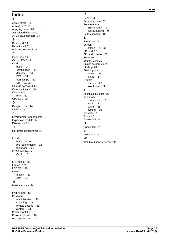# **Index**

**A** Administrator 23 Analog lines 21 Applying power 20 Associated documents 7 ATM4 daughter card 14 **B** Base card 14 Basic install 7 Bulletins technical 16 **C** Cable ties 16 Cable, RJ45 12 Card base 14 combination 14 daughter 14 ETR 14 front lamps 20 SD 17, 20 Change password 23 Combination card 14 Control unit rear 20 CPU LED 20 **D** Daughter card 14

Dial tone 21 **E** Envirmental Requirements 9 Expansion module 14 Extensions 21 **H** Hardware components 14 **I** Install basic 7, 16 pre requirements 16 telephone 21 IP500 Installation Card 18 **L**

LAN socket 20 Laptop 7, 20 LED CPU 20 Lines analog 21 cord 21 **M** Maximum units 14 **P** Part number 12 Password administration 23 changing 23 remote access 23 system 23

Patch panel 21 Power application 20 Pre requirements 16

**R** Recall 14 Remote access 23 **Requirements** Enviromental 9 Wall Mounting 9 RJ45 connector 12 **S** SAP code 12 Screen splash 20, 23 SD card 17 SD card insertion 20 SIP trunk 14 Socket, LAN 20 Splash screen 20, 23 Start-up 20 Station ports analog 14 digital 14 System checks 20 telephone 21 **T** Technical bulletins 16 Telephone connection 16 install 21 stand 21 system 21 Tie-wrap 21 Tools 16 Trunks SIP 14 **U** Unpacking 17 **V** Voicemail 14 **W** Wall Mounting Requirements 9